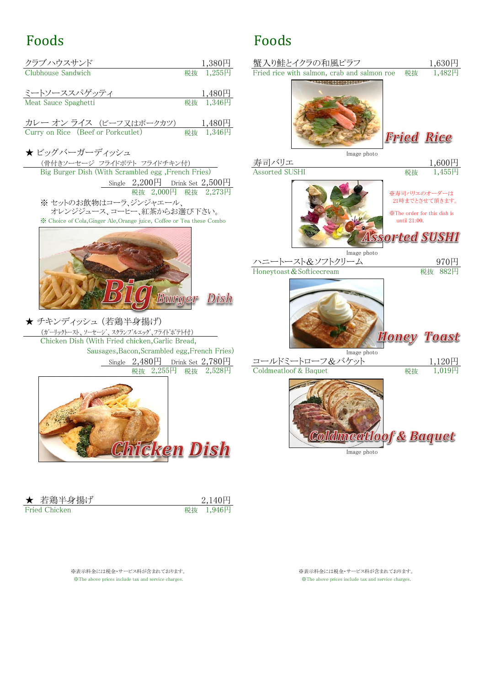## Foods

| クラブハウスサンド                                                     | $1,380$ 円              | 蟹入り鮭とイクラの和風ピラフ                         |             |
|---------------------------------------------------------------|------------------------|----------------------------------------|-------------|
| Clubhouse Sandwich                                            | 税抜 1,255円              | Fried rice with salmon, crab and salmo |             |
| ミートソーススパゲッティ<br>Meat Sauce Spaghetti                          | $1,480$ 円<br>税抜 1,346円 |                                        |             |
| カレー オン ライス (ビーフ又はポークカツ)<br>Curry on Rice (Beef or Porkcutlet) | $1,480$ 円<br>税抜 1,346円 |                                        |             |
| ★ビッグバーガーディッシュ                                                 |                        |                                        | Image photo |
| (骨付きソーセージ フライドポテト フライドチキン付)                                   |                        | 寿司バリエ                                  |             |
| Big Burger Dish (With Scrambled egg. French Fries)            |                        | Assorted SUSHI                         |             |

Single  $2,200\overline{P}$  Drink Set  $2,500\overline{P}$ ※ セットのお飲物はコーラ、ジンジャエール、 ※ Choice of Cola,Ginger Ale,Orange juice, Coffee or Tea these Combo until 21:00. 税抜 2,000円 税抜



★ チキンディッシュ (若鶏半身揚げ) (ガーリックトースト、ソーセージ、スクランブルエッグ、フライドポテト付) Chicken Dish (With Fried chicken,Garlic Bread, Sausages,Bacon,Scrambled egg,French Fries) Image photo



| ★ 若鶏半身揚げ      |  |
|---------------|--|
| Fried Chicken |  |

2,140円 1,946円

※The above prices include tax and service charges. ※表示料金には税金・サービス料が含まれております。

## Foods



Image photo

※表示料金には税金・サービス料が含まれております。 ※The above prices include tax and service charges.